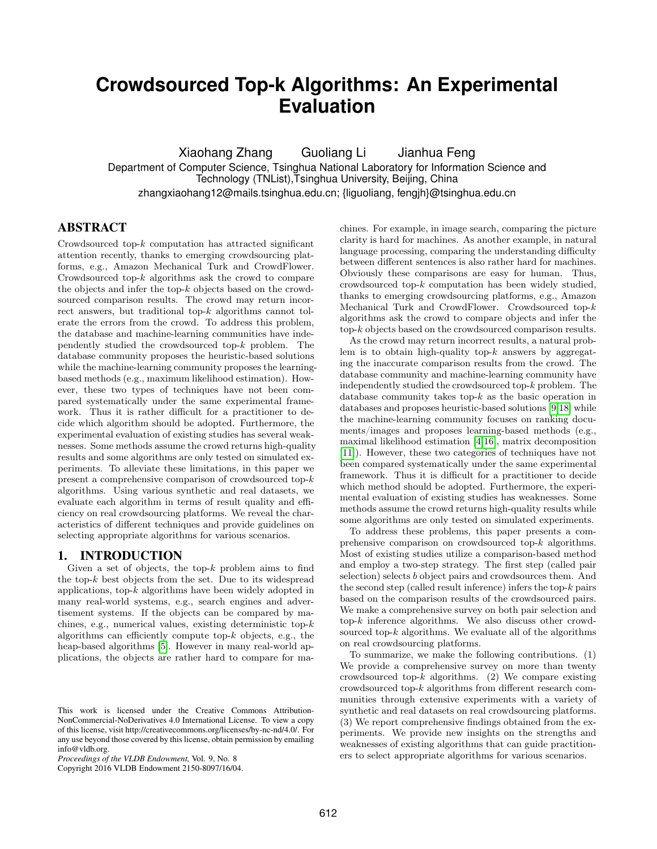# **Crowdsourced Top-k Algorithms: An Experimental Evaluation**

Xiaohang Zhang Guoliang Li Jianhua Feng

Department of Computer Science, Tsinghua National Laboratory for Information Science and Technology (TNList), Tsinghua University, Beijing, China zhangxiaohang12@mails.tsinghua.edu.cn; {liguoliang, fengjh}@tsinghua.edu.cn

# ABSTRACT

Crowdsourced top- $k$  computation has attracted significant attention recently, thanks to emerging crowdsourcing platforms, e.g., Amazon Mechanical Turk and CrowdFlower. Crowdsourced top- $k$  algorithms ask the crowd to compare the objects and infer the top- $k$  objects based on the crowdsourced comparison results. The crowd may return incorrect answers, but traditional top-k algorithms cannot tolerate the errors from the crowd. To address this problem, the database and machine-learning communities have independently studied the crowdsourced top-k problem. The database community proposes the heuristic-based solutions while the machine-learning community proposes the learningbased methods (e.g., maximum likelihood estimation). However, these two types of techniques have not been compared systematically under the same experimental framework. Thus it is rather difficult for a practitioner to decide which algorithm should be adopted. Furthermore, the experimental evaluation of existing studies has several weaknesses. Some methods assume the crowd returns high-quality results and some algorithms are only tested on simulated experiments. To alleviate these limitations, in this paper we present a comprehensive comparison of crowdsourced top-k algorithms. Using various synthetic and real datasets, we evaluate each algorithm in terms of result quality and efficiency on real crowdsourcing platforms. We reveal the characteristics of different techniques and provide guidelines on selecting appropriate algorithms for various scenarios.

# 1. INTRODUCTION

Given a set of objects, the top- $k$  problem aims to find the top- $k$  best objects from the set. Due to its widespread applications, top- $k$  algorithms have been widely adopted in many real-world systems, e.g., search engines and advertisement systems. If the objects can be compared by machines, e.g., numerical values, existing deterministic top- $k$ algorithms can efficiently compute top- $k$  objects, e.g., the heap-based algorithms [\[5\]](#page-11-0). However in many real-world applications, the objects are rather hard to compare for ma-

Copyright 2016 VLDB Endowment 2150-8097/16/04.

chines. For example, in image search, comparing the picture clarity is hard for machines. As another example, in natural language processing, comparing the understanding difficulty between different sentences is also rather hard for machines. Obviously these comparisons are easy for human. Thus, crowdsourced top-k computation has been widely studied, thanks to emerging crowdsourcing platforms, e.g., Amazon Mechanical Turk and CrowdFlower. Crowdsourced top-k algorithms ask the crowd to compare objects and infer the top-k objects based on the crowdsourced comparison results.

As the crowd may return incorrect results, a natural problem is to obtain high-quality top- $k$  answers by aggregating the inaccurate comparison results from the crowd. The database community and machine-learning community have independently studied the crowdsourced top-k problem. The database community takes top- $k$  as the basic operation in databases and proposes heuristic-based solutions [\[9](#page-11-1)[,18\]](#page-11-2) while the machine-learning community focuses on ranking documents/images and proposes learning-based methods (e.g., maximal likelihood estimation [\[4](#page-11-3)[,16\]](#page-11-4), matrix decomposition [\[11\]](#page-11-5)). However, these two categories of techniques have not been compared systematically under the same experimental framework. Thus it is difficult for a practitioner to decide which method should be adopted. Furthermore, the experimental evaluation of existing studies has weaknesses. Some methods assume the crowd returns high-quality results while some algorithms are only tested on simulated experiments.

To address these problems, this paper presents a comprehensive comparison on crowdsourced top-k algorithms. Most of existing studies utilize a comparison-based method and employ a two-step strategy. The first step (called pair selection) selects b object pairs and crowdsources them. And the second step (called result inference) infers the top- $k$  pairs based on the comparison results of the crowdsourced pairs. We make a comprehensive survey on both pair selection and top-k inference algorithms. We also discuss other crowdsourced top- $k$  algorithms. We evaluate all of the algorithms on real crowdsourcing platforms.

To summarize, we make the following contributions. (1) We provide a comprehensive survey on more than twenty crowdsourced top- $k$  algorithms. (2) We compare existing crowdsourced top-k algorithms from different research communities through extensive experiments with a variety of synthetic and real datasets on real crowdsourcing platforms. (3) We report comprehensive findings obtained from the experiments. We provide new insights on the strengths and weaknesses of existing algorithms that can guide practitioners to select appropriate algorithms for various scenarios.

This work is licensed under the Creative Commons Attribution-NonCommercial-NoDerivatives 4.0 International License. To view a copy of this license, visit http://creativecommons.org/licenses/by-nc-nd/4.0/. For any use beyond those covered by this license, obtain permission by emailing info@vldb.org.

*Proceedings of the VLDB Endowment,* Vol. 9, No. 8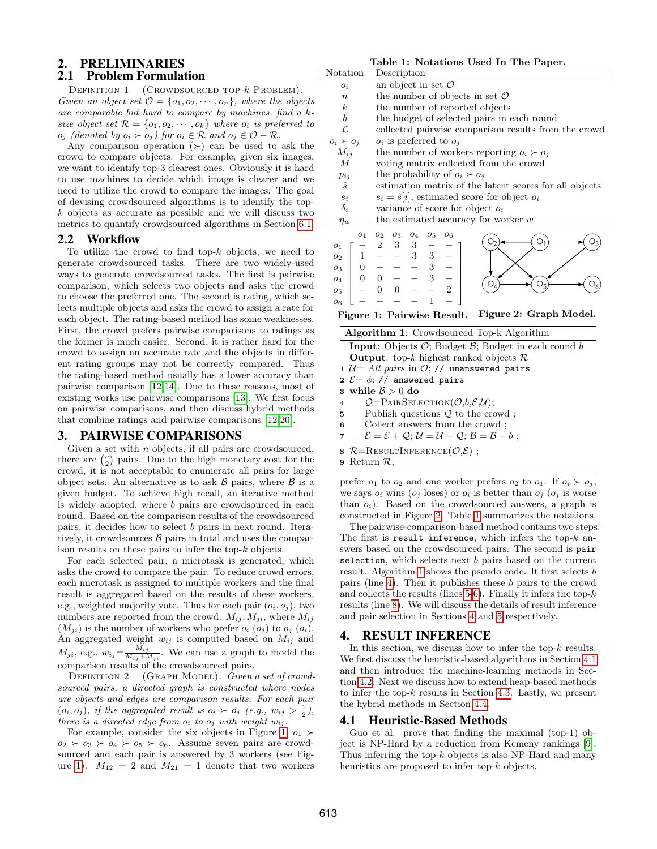## 2. PRELIMINARIES<br>2.1 Problem Formula **Problem Formulation**

DEFINITION 1 (CROWDSOURCED TOP- $k$  Problem). Given an object set  $\mathcal{O} = \{o_1, o_2, \cdots, o_n\}$ , where the objects are comparable but hard to compare by machines, find a ksize object set  $\mathcal{R} = \{o_1, o_2, \dots, o_k\}$  where  $o_i$  is preferred to  $o_j$  (denoted by  $o_i \succ o_j$ ) for  $o_i \in \mathcal{R}$  and  $o_j \in \mathcal{O} - \mathcal{R}$ .

Any comparison operation  $(\succ)$  can be used to ask the crowd to compare objects. For example, given six images, we want to identify top-3 clearest ones. Obviously it is hard to use machines to decide which image is clearer and we need to utilize the crowd to compare the images. The goal of devising crowdsourced algorithms is to identify the topk objects as accurate as possible and we will discuss two metrics to quantify crowdsourced algorithms in Section [6.1.](#page-6-0)

# 2.2 Workflow

To utilize the crowd to find top- $k$  objects, we need to generate crowdsourced tasks. There are two widely-used ways to generate crowdsourced tasks. The first is pairwise comparison, which selects two objects and asks the crowd to choose the preferred one. The second is rating, which selects multiple objects and asks the crowd to assign a rate for each object. The rating-based method has some weaknesses. First, the crowd prefers pairwise comparisons to ratings as the former is much easier. Second, it is rather hard for the crowd to assign an accurate rate and the objects in different rating groups may not be correctly compared. Thus the rating-based method usually has a lower accuracy than pairwise comparison [\[12,](#page-11-6)[14\]](#page-11-7). Due to these reasons, most of existing works use pairwise comparisons [\[13\]](#page-11-8). We first focus on pairwise comparisons, and then discuss hybrid methods that combine ratings and pairwise comparisons [\[12,](#page-11-6)[20\]](#page-11-9).

# 3. PAIRWISE COMPARISONS

Given a set with  $n$  objects, if all pairs are crowdsourced, there are  $\binom{n}{2}$  pairs. Due to the high monetary cost for the crowd, it is not acceptable to enumerate all pairs for large object sets. An alternative is to ask  $\beta$  pairs, where  $\beta$  is a given budget. To achieve high recall, an iterative method is widely adopted, where b pairs are crowdsourced in each round. Based on the comparison results of the crowdsourced pairs, it decides how to select b pairs in next round. Iteratively, it crowdsources  $\beta$  pairs in total and uses the comparison results on these pairs to infer the top-k objects.

For each selected pair, a microtask is generated, which asks the crowd to compare the pair. To reduce crowd errors, each microtask is assigned to multiple workers and the final result is aggregated based on the results of these workers, e.g., weighted majority vote. Thus for each pair  $(o_i, o_j)$ , two numbers are reported from the crowd:  $M_{ij}$ ,  $M_{ji}$ , where  $M_{ij}$  $(M_{ii})$  is the number of workers who prefer  $o_i$   $(o_i)$  to  $o_j$   $(o_i)$ . An aggregated weight  $w_{ij}$  is computed based on  $M_{ij}$  and  $M_{ji}$ , e.g.,  $w_{ij} = \frac{M_{ij}}{M_{ij} + M_{ij}}$  $\frac{M_{ij}}{M_{ij}+M_{ji}}$ . We can use a graph to model the comparison results of the crowdsourced pairs.

DEFINITION 2 (GRAPH MODEL). Given a set of crowdsourced pairs, a directed graph is constructed where nodes are objects and edges are comparison results. For each pair  $(o_i, o_j)$ , if the aggregated result is  $o_i \succ o_j$  (e.g.,  $w_{ij} > \frac{1}{2}$ ), there is a directed edge from  $o_i$  to  $o_j$  with weight  $w_{ij}$ .

For example, consider the six objects in Figure [1,](#page-1-0)  $o_1 \succ$  $o_2 \succ o_3 \succ o_4 \succ o_5 \succ o_6$ . Assume seven pairs are crowdsourced and each pair is answered by 3 workers (see Fig-ure [1\)](#page-1-0).  $M_{12} = 2$  and  $M_{21} = 1$  denote that two workers

<span id="page-1-2"></span>Table 1: Notations Used In The Paper.

| Notation         | Description                                            |  |  |  |  |  |  |
|------------------|--------------------------------------------------------|--|--|--|--|--|--|
| $O_i$            | an object in set $\mathcal O$                          |  |  |  |  |  |  |
| $\boldsymbol{n}$ | the number of objects in set $\mathcal O$              |  |  |  |  |  |  |
| $_{k}$           | the number of reported objects                         |  |  |  |  |  |  |
| $\boldsymbol{b}$ | the budget of selected pairs in each round             |  |  |  |  |  |  |
| $\mathcal{L}$    | collected pairwise comparison results from the crowd   |  |  |  |  |  |  |
| $o_i \succ o_j$  | $o_i$ is preferred to $o_i$                            |  |  |  |  |  |  |
| $M_{ii}$         | the number of workers reporting $o_i \succ o_j$        |  |  |  |  |  |  |
| $\overline{M}$   | voting matrix collected from the crowd                 |  |  |  |  |  |  |
| $p_{ij}$         | the probability of $o_i \succ o_i$                     |  |  |  |  |  |  |
| $\hat{s}$        | estimation matrix of the latent scores for all objects |  |  |  |  |  |  |
| $s_i$            | $s_i = \hat{s}[i]$ , estimated score for object $o_i$  |  |  |  |  |  |  |
| $\delta_i$       | variance of score for object $o_i$                     |  |  |  |  |  |  |
| $\eta_w$         | the estimated accuracy for worker $w$                  |  |  |  |  |  |  |
|                  | 04<br>$O_{5}$<br>03<br>06                              |  |  |  |  |  |  |



<span id="page-1-3"></span><span id="page-1-1"></span><span id="page-1-0"></span>Figure 1: Pairwise Result. Figure 2: Graph Model.

| <b>Algorithm 1:</b> Crowdsourced Top-k Algorithm                                                                               |  |  |  |  |  |
|--------------------------------------------------------------------------------------------------------------------------------|--|--|--|--|--|
| <b>Input:</b> Objects $\mathcal{O}$ ; Budget $\mathcal{B}$ ; Budget in each round b                                            |  |  |  |  |  |
| <b>Output:</b> top-k highest ranked objects $\mathcal{R}$                                                                      |  |  |  |  |  |
| 1 $U = All pairs$ in $O$ ; // unanswered pairs                                                                                 |  |  |  |  |  |
| 2 $\mathcal{E} = \phi$ ; // answered pairs                                                                                     |  |  |  |  |  |
| 3 while $\beta > 0$ do                                                                                                         |  |  |  |  |  |
| $Q =$ PAIRSELECTION( $\mathcal{O}, b, \mathcal{E}, \mathcal{U}$ );<br>$\overline{\mathbf{4}}$                                  |  |  |  |  |  |
| Publish questions $Q$ to the crowd;<br>5                                                                                       |  |  |  |  |  |
| Collect answers from the crowd;<br>6                                                                                           |  |  |  |  |  |
| $\mathcal{E} = \mathcal{E} + \mathcal{Q}$ ; $\mathcal{U} = \mathcal{U} - \mathcal{Q}$ ; $\mathcal{B} = \mathcal{B} - b$ ;<br>7 |  |  |  |  |  |
| 8 R=RESULTINFERENCE( $\mathcal{O}, \mathcal{E}$ );                                                                             |  |  |  |  |  |

<span id="page-1-7"></span><span id="page-1-6"></span><span id="page-1-5"></span><span id="page-1-4"></span>**9** Return  $\mathcal{R}$ ;

prefer  $o_1$  to  $o_2$  and one worker prefers  $o_2$  to  $o_1$ . If  $o_i \succ o_j$ , we says  $o_i$  wins  $(o_j \text{ loses})$  or  $o_i$  is better than  $o_j$   $(o_j \text{ is worse})$ than  $o_i$ ). Based on the crowdsourced answers, a graph is constructed in Figure [2.](#page-1-1) Table [1](#page-1-2) summarizes the notations.

The pairwise-comparison-based method contains two steps. The first is result inference, which infers the top- $k$  answers based on the crowdsourced pairs. The second is pair selection, which selects next  $b$  pairs based on the current result. Algorithm [1](#page-1-3) shows the pseudo code. It first selects b pairs (line [4\)](#page-1-4). Then it publishes these b pairs to the crowd and collects the results (lines [5](#page-1-5)[-6\)](#page-1-6). Finally it infers the top- $k$ results (line [8\)](#page-1-7). We will discuss the details of result inference and pair selection in Sections [4](#page-1-8) and [5](#page-5-0) respectively.

# <span id="page-1-8"></span>4. RESULT INFERENCE

In this section, we discuss how to infer the top- $k$  results. We first discuss the heuristic-based algorithms in Section [4.1](#page-1-9) and then introduce the machine-learning methods in Section [4.2.](#page-3-0) Next we discuss how to extend heap-based methods to infer the top- $k$  results in Section [4.3.](#page-4-0) Lastly, we present the hybrid methods in Section [4.4.](#page-4-1)

# <span id="page-1-9"></span>4.1 Heuristic-Based Methods

Guo et al. prove that finding the maximal (top-1) object is NP-Hard by a reduction from Kemeny rankings [\[9\]](#page-11-1). Thus inferring the top- $k$  objects is also NP-Hard and many heuristics are proposed to infer top-k objects.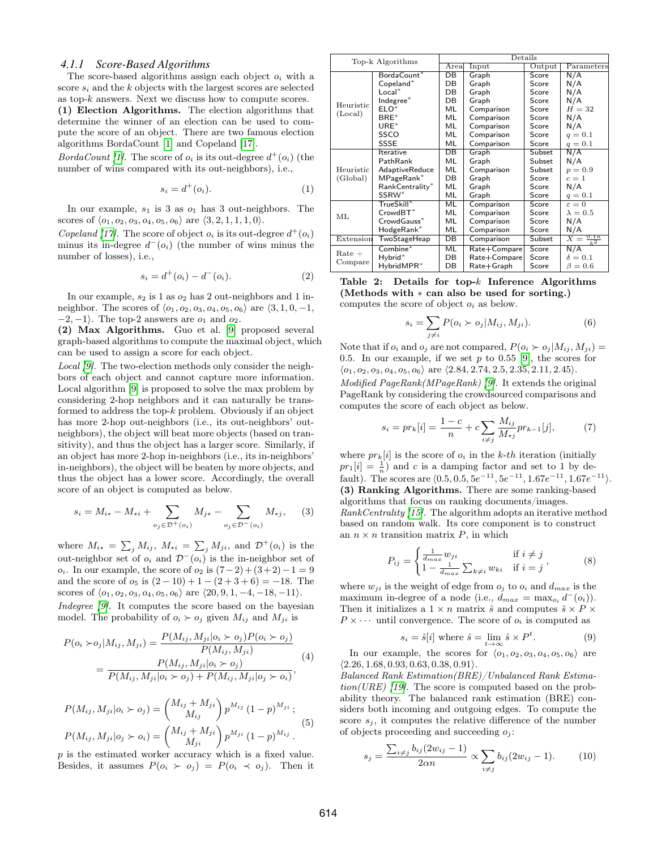#### *4.1.1 Score-Based Algorithms*

The score-based algorithms assign each object  $o_i$  with a score  $s_i$  and the k objects with the largest scores are selected as top-k answers. Next we discuss how to compute scores.

(1) Election Algorithms. The election algorithms that determine the winner of an election can be used to compute the score of an object. There are two famous election algorithms BordaCount [\[1\]](#page-11-10) and Copeland [\[17\]](#page-11-11).

BordaCount [\[1\]](#page-11-10). The score of  $o_i$  is its out-degree  $d^+(o_i)$  (the number of wins compared with its out-neighbors), i.e.,

$$
s_i = d^+(o_i). \tag{1}
$$

In our example,  $s_1$  is 3 as  $o_1$  has 3 out-neighbors. The scores of  $\langle o_1, o_2, o_3, o_4, o_5, o_6 \rangle$  are  $\langle 3, 2, 1, 1, 1, 0 \rangle$ .

Copeland [\[17\]](#page-11-11). The score of object  $o_i$  is its out-degree  $d^+(o_i)$ minus its in-degree  $d^-(o_i)$  (the number of wins minus the number of losses), i.e.,

$$
s_i = d^+(o_i) - d^-(o_i). \tag{2}
$$

In our example,  $s_2$  is 1 as  $o_2$  has 2 out-neighbors and 1 inneighbor. The scores of  $\langle o_1, o_2, o_3, o_4, o_5, o_6 \rangle$  are  $\langle 3, 1, 0, -1,$  $-2, -1$ . The top-2 answers are  $o_1$  and  $o_2$ .

(2) Max Algorithms. Guo et al. [\[9\]](#page-11-1) proposed several graph-based algorithms to compute the maximal object, which can be used to assign a score for each object.

Local [\[9\]](#page-11-1). The two-election methods only consider the neighbors of each object and cannot capture more information. Local algorithm [\[9\]](#page-11-1) is proposed to solve the max problem by considering 2-hop neighbors and it can naturally be transformed to address the top-k problem. Obviously if an object has more 2-hop out-neighbors (i.e., its out-neighbors' outneighbors), the object will beat more objects (based on transitivity), and thus the object has a larger score. Similarly, if an object has more 2-hop in-neighbors (i.e., its in-neighbors' in-neighbors), the object will be beaten by more objects, and thus the object has a lower score. Accordingly, the overall score of an object is computed as below.

$$
s_i = M_{i*} - M_{*i} + \sum_{o_j \in \mathcal{D}^+(o_i)} M_{j*} - \sum_{o_j \in \mathcal{D}^-(o_i)} M_{*j}, \quad (3)
$$

where  $M_{i*} = \sum_j M_{ij}$ ,  $M_{*i} = \sum_j M_{ji}$ , and  $\mathcal{D}^+(o_i)$  is the out-neighbor set of  $o_i$  and  $\mathcal{D}^-(o_i)$  is the in-neighbor set of  $o_i$ . In our example, the score of  $o_2$  is  $(7-2)+(3+2)-1=9$ and the score of  $o_5$  is  $(2-10) + 1 - (2+3+6) = -18$ . The scores of  $\langle o_1, o_2, o_3, o_4, o_5, o_6 \rangle$  are  $\langle 20, 9, 1, -4, -18, -11 \rangle$ .

Indegree [\[9\]](#page-11-1). It computes the score based on the bayesian model. The probability of  $o_i \succ o_j$  given  $M_{ij}$  and  $M_{ji}$  is

$$
P(o_i \succ o_j | M_{ij}, M_{ji}) = \frac{P(M_{ij}, M_{ji}|o_i \succ o_j)P(o_i \succ o_j)}{P(M_{ij}, M_{ji})}
$$
  
= 
$$
\frac{P(M_{ij}, M_{ji}|o_i \succ o_j)}{P(M_{ij}, M_{ji}|o_i \succ o_j) + P(M_{ij}, M_{ji}|o_j \succ o_i)},
$$
(4)

$$
P(M_{ij}, M_{ji}|o_i \succ o_j) = {M_{ij} + M_{ji} \choose M_{ij}} p^{M_{ij}} (1-p)^{M_{ji}}; P(M_{ij}, M_{ji}|o_j \succ o_i) = {M_{ij} + M_{ji} \choose M_{ji}} p^{M_{ji}} (1-p)^{M_{ij}}.
$$
 (5)

 $p$  is the estimated worker accuracy which is a fixed value. Besides, it assumes  $P(o_i \succ o_j) = P(o_i \prec o_j)$ . Then it

| Top-k Algorithms      |                   | Details         |              |        |                        |
|-----------------------|-------------------|-----------------|--------------|--------|------------------------|
|                       |                   | Area            | Input        | Output | Parameters             |
| Heuristic<br>(Local)  | BordaCount*       | $\overline{DB}$ | Graph        | Score  | N/A                    |
|                       | Copeland*         | DB              | Graph        | Score  | N/A                    |
|                       | $Local*$          | DB              | Graph        | Score  | N/A                    |
|                       | Indegree*         | <b>DB</b>       | Graph        | Score  | N/A                    |
|                       | $ELO*$            | ML              | Comparison   | Score  | $H=32$                 |
|                       | BRE*              | ML              | Comparison   | Score  | N/A                    |
|                       | $URE*$            | ML              | Comparison   | Score  | N/A                    |
|                       | SSCO              | ML              | Comparison   | Score  | $q = 0.1$              |
|                       | SSSE              | ML              | Comparison   | Score  | $q = 0.1$              |
| Heuristic<br>(Global) | Iterative         | <b>DB</b>       | Graph        | Subset | N/A                    |
|                       | PathRank          | ML              | Graph        | Subset | N/A                    |
|                       | AdaptiveReduce    | ML              | Comparison   | Subset | $p = 0.9$              |
|                       | MPageRank*        | DB.             | Graph        | Score  | $c=1$                  |
|                       | RankCentrality*   | ML              | Graph        | Score  | N/A                    |
|                       | SSRW <sup>*</sup> | ML              | Graph        | Score  | $q = 0.1$              |
| ML                    | TrueSkill*        | ML              | Comparison   | Score  | $\varepsilon = 0$      |
|                       | CrowdBT*          | ML              | Comparison   | Score  | $\lambda = 0.5$        |
|                       | CrowdGauss*       | ML              | Comparison   | Score  | N/A                    |
|                       | HodgeRank*        | ML              | Comparison   | Score  | N/A                    |
| Extension             | TwoStageHeap      | DB              | Comparison   | Subset | $X = \frac{0.1n}{h^2}$ |
| $Rate +$<br>Compare   | Combine*          | ML              | Rate+Compare | Score  | N/A                    |
|                       | Hybrid*           | DB              | Rate+Compare | Score  | $\delta = 0.1$         |
|                       | HybridMPR*        | DB              | Rate+Graph   | Score  | $\beta=0.6$            |

Table 2: Details for top- $k$  Inference Algorithms (Methods with ∗ can also be used for sorting.) computes the score of object  $o_i$  as below.

<span id="page-2-0"></span>
$$
s_i = \sum_{j \neq i} P(o_i \succ o_j | M_{ij}, M_{ji}). \tag{6}
$$

Note that if  $o_i$  and  $o_j$  are not compared,  $P(o_i \succ o_j | M_{ij}, M_{ji}) =$ 0.5. In our example, if we set  $p$  to 0.55 [\[9\]](#page-11-1), the scores for  $\langle o_1, o_2, o_3, o_4, o_5, o_6 \rangle$  are  $\langle 2.84, 2.74, 2.5, 2.35, 2.11, 2.45 \rangle$ .

Modified PageRank(MPageRank) [\[9\]](#page-11-1). It extends the original PageRank by considering the crowdsourced comparisons and computes the score of each object as below.

$$
s_i = pr_k[i] = \frac{1-c}{n} + c \sum_{i \neq j} \frac{M_{ij}}{M_{*j}} pr_{k-1}[j],
$$
 (7)

where  $pr_k[i]$  is the score of  $o_i$  in the k-th iteration (initially  $pr_1[i] = \frac{1}{n}$  and c is a damping factor and set to 1 by default). The scores are  $\langle 0.5, 0.5, 5e^{-11}, 5e^{-11}, 1.67e^{-11}, 1.67e^{-11} \rangle$ . (3) Ranking Algorithms. There are some ranking-based algorithms that focus on ranking documents/images. RankCentrality [\[15\]](#page-11-12). The algorithm adopts an iterative method based on random walk. Its core component is to construct an  $n \times n$  transition matrix P, in which

$$
P_{ij} = \begin{cases} \frac{1}{d_{max}} w_{ji} & \text{if } i \neq j \\ 1 - \frac{1}{d_{max}} \sum_{k \neq i} w_{ki} & \text{if } i = j \end{cases},
$$
 (8)

where  $w_{ji}$  is the weight of edge from  $o_j$  to  $o_i$  and  $d_{max}$  is the maximum in-degree of a node (i.e.,  $d_{max} = \max_{o_i} d^-(o_i)$ ). Then it initializes a  $1 \times n$  matrix  $\hat{s}$  and computes  $\hat{s} \times P \times$  $P \times \cdots$  until convergence. The score of  $o_i$  is computed as

$$
s_i = \hat{s}[i] \text{ where } \hat{s} = \lim_{t \to \infty} \hat{s} \times P^t. \tag{9}
$$

In our example, the scores for  $\langle o_1, o_2, o_3, o_4, o_5, o_6 \rangle$  are  $\langle 2.26, 1.68, 0.93, 0.63, 0.38, 0.91 \rangle$ .

Balanced Rank Estimation(BRE)/Unbalanced Rank Estima $tion(URE)$  [\[19\]](#page-11-13). The score is computed based on the probability theory. The balanced rank estimation (BRE) considers both incoming and outgoing edges. To compute the score  $s_i$ , it computes the relative difference of the number of objects proceeding and succeeding  $o_i$ :

$$
s_j = \frac{\sum_{i \neq j} b_{ij} (2w_{ij} - 1)}{2\alpha n} \propto \sum_{i \neq j} b_{ij} (2w_{ij} - 1).
$$
 (10)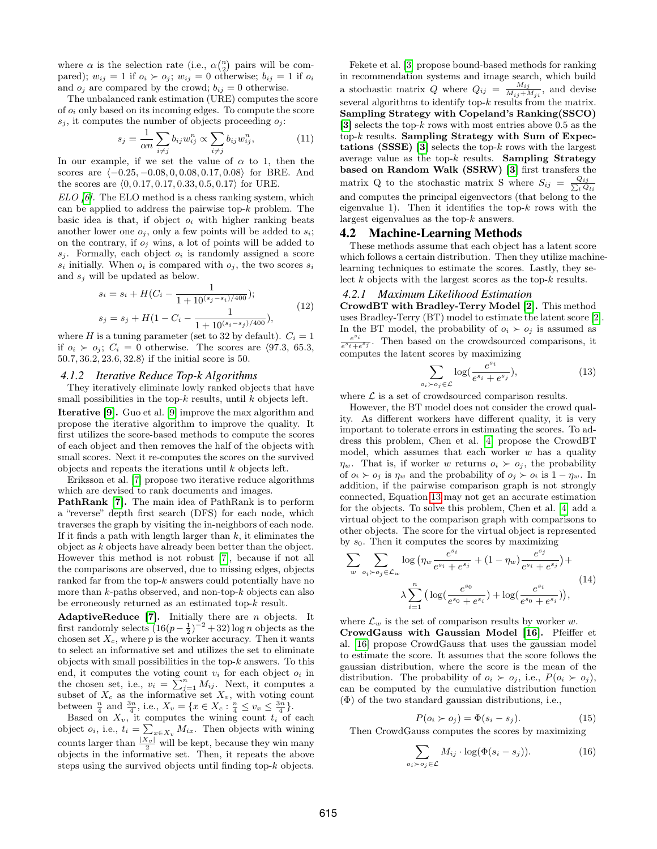where  $\alpha$  is the selection rate (i.e.,  $\alpha \binom{n}{2}$  pairs will be compared);  $w_{ij} = 1$  if  $o_i \succ o_j$ ;  $w_{ij} = 0$  otherwise;  $b_{ij} = 1$  if  $o_i$ and  $o_j$  are compared by the crowd;  $b_{ij} = 0$  otherwise.

The unbalanced rank estimation (URE) computes the score of  $o_i$  only based on its incoming edges. To compute the score  $s_j$ , it computes the number of objects proceeding  $o_j$ :

$$
s_j = \frac{1}{\alpha n} \sum_{i \neq j} b_{ij} w_{ij}^n \propto \sum_{i \neq j} b_{ij} w_{ij}^n, \qquad (11)
$$

In our example, if we set the value of  $\alpha$  to 1, then the scores are  $\langle -0.25, -0.08, 0, 0.08, 0.17, 0.08 \rangle$  for BRE. And the scores are  $(0, 0.17, 0.17, 0.33, 0.5, 0.17)$  for URE.

 $ELO$  [\[6\]](#page-11-14). The ELO method is a chess ranking system, which can be applied to address the pairwise top- $k$  problem. The basic idea is that, if object  $o_i$  with higher ranking beats another lower one  $o_i$ , only a few points will be added to  $s_i$ ; on the contrary, if  $o_j$  wins, a lot of points will be added to  $s_j$ . Formally, each object  $o_i$  is randomly assigned a score  $s_i$  initially. When  $o_i$  is compared with  $o_j$ , the two scores  $s_i$ and  $s_j$  will be updated as below.

$$
s_i = s_i + H(C_i - \frac{1}{1 + 10^{(s_j - s_i)/400}});
$$
  
\n
$$
s_j = s_j + H(1 - C_i - \frac{1}{1 + 10^{(s_i - s_j)/400}}),
$$
\n(12)

where H is a tuning parameter (set to 32 by default).  $C_i = 1$ if  $o_i \succ o_j$ ;  $C_i = 0$  otherwise. The scores are  $\langle 97.3, 65.3,$  $50.7, 36.2, 23.6, 32.8$  if the initial score is 50.

#### *4.1.2 Iterative Reduce Top-k Algorithms*

They iteratively eliminate lowly ranked objects that have small possibilities in the top- $k$  results, until  $k$  objects left.

Iterative [\[9\]](#page-11-1). Guo et al. [\[9\]](#page-11-1) improve the max algorithm and propose the iterative algorithm to improve the quality. It first utilizes the score-based methods to compute the scores of each object and then removes the half of the objects with small scores. Next it re-computes the scores on the survived objects and repeats the iterations until k objects left.

Eriksson et al. [\[7\]](#page-11-15) propose two iterative reduce algorithms which are devised to rank documents and images.

PathRank [\[7\]](#page-11-15). The main idea of PathRank is to perform a "reverse" depth first search (DFS) for each node, which traverses the graph by visiting the in-neighbors of each node. If it finds a path with length larger than  $k$ , it eliminates the object as  $k$  objects have already been better than the object. However this method is not robust [\[7\]](#page-11-15), because if not all the comparisons are observed, due to missing edges, objects ranked far from the top- $k$  answers could potentially have no more than  $k$ -paths observed, and non-top- $k$  objects can also be erroneously returned as an estimated top-k result.

AdaptiveReduce  $[7]$ . Initially there are *n* objects. It first randomly selects  $(16(p - \frac{1}{2})^{-2} + 32) \log n$  objects as the chosen set  $X_c$ , where p is the worker accuracy. Then it wants to select an informative set and utilizes the set to eliminate objects with small possibilities in the top- $k$  answers. To this end, it computes the voting count  $v_i$  for each object  $o_i$  in the chosen set, i.e.,  $v_i = \sum_{j=1}^n M_{ij}$ . Next, it computes a subset of  $X_c$  as the informative set  $X_v$ , with voting count between  $\frac{n}{4}$  and  $\frac{3n}{4}$ , i.e.,  $X_v = \{x \in X_c : \frac{n}{4} \le v_x \le \frac{3n}{4}\}.$ 

Based on  $X_v$ , it computes the wining count  $t_i$  of each object  $o_i$ , i.e.,  $t_i = \sum_{x \in X_v} M_{ix}$ . Then objects with wining counts larger than  $\frac{|X_v|}{2}$  will be kept, because they win many objects in the informative set. Then, it repeats the above steps using the survived objects until finding top- $k$  objects.

Fekete et al. [\[3\]](#page-11-16) propose bound-based methods for ranking in recommendation systems and image search, which build a stochastic matrix Q where  $Q_{ij} = \frac{M_{ij}}{M_{ij} + M_{ij}}$  $\frac{M_{ij}}{M_{ij}+M_{ji}}$ , and devise several algorithms to identify top- $k$  results from the matrix. Sampling Strategy with Copeland's Ranking(SSCO) [\[3\]](#page-11-16) selects the top-k rows with most entries above 0.5 as the  $top-k$  results. Sampling Strategy with Sum of Expec-tations (SSSE) [\[3\]](#page-11-16) selects the top- $k$  rows with the largest average value as the top- $k$  results. Sampling Strategy based on Random Walk (SSRW) [\[3\]](#page-11-16) first transfers the matrix Q to the stochastic matrix S where  $S_{ij} = \frac{Q_{ij}}{\sum_i Q_i}$  $_{l}$  Q<sub>li</sub> and computes the principal eigenvectors (that belong to the eigenvalue 1). Then it identifies the top- $k$  rows with the largest eigenvalues as the top-k answers.

#### <span id="page-3-0"></span>4.2 Machine-Learning Methods

These methods assume that each object has a latent score which follows a certain distribution. Then they utilize machinelearning techniques to estimate the scores. Lastly, they select k objects with the largest scores as the top-k results.

# *4.2.1 Maximum Likelihood Estimation*

CrowdBT with Bradley-Terry Model [\[2\]](#page-11-17). This method uses Bradley-Terry (BT) model to estimate the latent score [\[2\]](#page-11-17). In the BT model, the probability of  $o_i \succ o_j$  is assumed as e si  $\frac{e^{s_1}}{e^{s_1}+e^{s_2}}$ . Then based on the crowdsourced comparisons, it computes the latent scores by maximizing

<span id="page-3-1"></span>
$$
\sum_{o_i \succ o_j \in \mathcal{L}} \log(\frac{e^{s_i}}{e^{s_i} + e^{s_j}}),\tag{13}
$$

where  $\mathcal L$  is a set of crowdsourced comparison results.

However, the BT model does not consider the crowd quality. As different workers have different quality, it is very important to tolerate errors in estimating the scores. To address this problem, Chen et al. [\[4\]](#page-11-3) propose the CrowdBT model, which assumes that each worker  $w$  has a quality  $\eta_w$ . That is, if worker w returns  $o_i \succ o_j$ , the probability of  $o_i \succ o_j$  is  $\eta_w$  and the probability of  $o_j \succ o_i$  is  $1 - \eta_w$ . In addition, if the pairwise comparison graph is not strongly connected, Equation [13](#page-3-1) may not get an accurate estimation for the objects. To solve this problem, Chen et al. [\[4\]](#page-11-3) add a virtual object to the comparison graph with comparisons to other objects. The score for the virtual object is represented by  $s_0$ . Then it computes the scores by maximizing

$$
\sum_{w} \sum_{o_i \succ o_j \in \mathcal{L}_w} \log \left( \eta_w \frac{e^{s_i}}{e^{s_i} + e^{s_j}} + (1 - \eta_w) \frac{e^{s_j}}{e^{s_i} + e^{s_j}} \right) + \lambda \sum_{i=1}^n \left( \log(\frac{e^{s_0}}{e^{s_0} + e^{s_i}}) + \log(\frac{e^{s_i}}{e^{s_0} + e^{s_i}}) \right), \tag{14}
$$

where  $\mathcal{L}_w$  is the set of comparison results by worker w. CrowdGauss with Gaussian Model [\[16\]](#page-11-4). Pfeiffer et al. [\[16\]](#page-11-4) propose CrowdGauss that uses the gaussian model to estimate the score. It assumes that the score follows the gaussian distribution, where the score is the mean of the distribution. The probability of  $o_i \succ o_j$ , i.e.,  $P(o_i \succ o_j)$ , can be computed by the cumulative distribution function (Φ) of the two standard gaussian distributions, i.e.,

$$
P(o_i \succ o_j) = \Phi(s_i - s_j). \tag{15}
$$

Then CrowdGauss computes the scores by maximizing

$$
\sum_{o_i \succ o_j \in \mathcal{L}} M_{ij} \cdot \log(\Phi(s_i - s_j)). \tag{16}
$$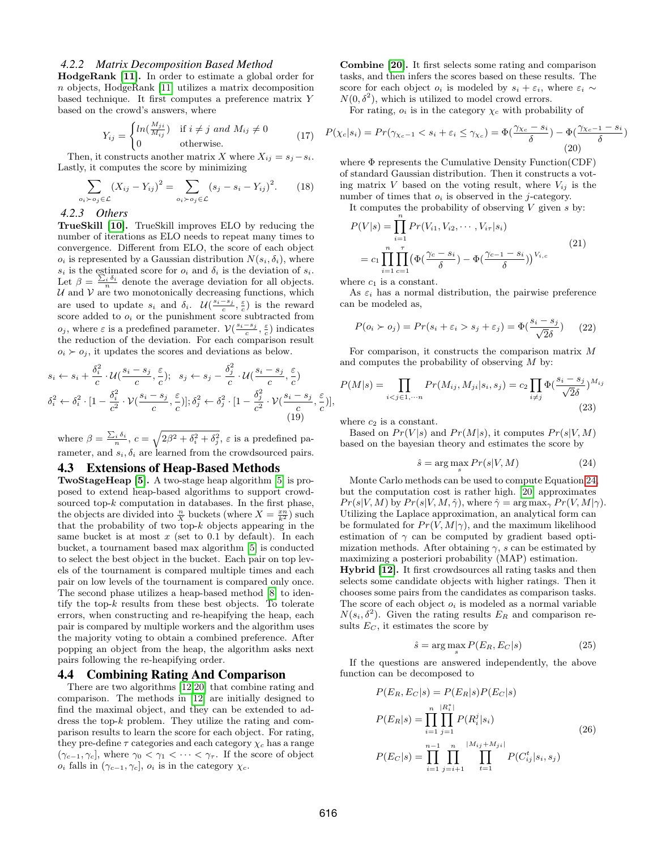#### *4.2.2 Matrix Decomposition Based Method*

HodgeRank [\[11\]](#page-11-5). In order to estimate a global order for n objects, HodgeRank [\[11\]](#page-11-5) utilizes a matrix decomposition based technique. It first computes a preference matrix Y based on the crowd's answers, where

$$
Y_{ij} = \begin{cases} ln(\frac{M_{ji}}{M_{ij}}) & \text{if } i \neq j \text{ and } M_{ij} \neq 0\\ 0 & \text{otherwise.} \end{cases}
$$
(17)

Then, it constructs another matrix X where  $X_{ij} = s_j - s_i$ . Lastly, it computes the score by minimizing

$$
\sum_{o_i \succ o_j \in \mathcal{L}} (X_{ij} - Y_{ij})^2 = \sum_{o_i \succ o_j \in \mathcal{L}} (s_j - s_i - Y_{ij})^2.
$$
 (18)

*4.2.3 Others*

TrueSkill [\[10\]](#page-11-18). TrueSkill improves ELO by reducing the number of iterations as ELO needs to repeat many times to convergence. Different from ELO, the score of each object  $o_i$  is represented by a Gaussian distribution  $N(s_i, \delta_i)$ , where  $s_i$  is the estimated score for  $o_i$  and  $\delta_i$  is the deviation of  $s_i$ . Let  $\beta = \frac{\sum_i \delta_i}{n}$  denote the average deviation for all objects.  $U$  and  $V$  are two monotonically decreasing functions, which are used to update  $s_i$  and  $\delta_i$ .  $\mathcal{U}(\frac{s_i-s_j}{c}, \frac{\varepsilon}{c})$  is the reward score added to  $o_i$  or the punishment score subtracted from  $o_j$ , where  $\varepsilon$  is a predefined parameter.  $\mathcal{V}(\frac{s_i-s_j}{c}, \frac{\varepsilon}{c})$  indicates the reduction of the deviation. For each comparison result  $o_i \succ o_j$ , it updates the scores and deviations as below.

$$
s_i \leftarrow s_i + \frac{\delta_i^2}{c} \cdot \mathcal{U}\left(\frac{s_i - s_j}{c}, \frac{\varepsilon}{c}\right); \quad s_j \leftarrow s_j - \frac{\delta_j^2}{c} \cdot \mathcal{U}\left(\frac{s_i - s_j}{c}, \frac{\varepsilon}{c}\right) \delta_i^2 \leftarrow \delta_i^2 \cdot [1 - \frac{\delta_i^2}{c^2} \cdot \mathcal{V}\left(\frac{s_i - s_j}{c}, \frac{\varepsilon}{c}\right)]; \delta_j^2 \leftarrow \delta_j^2 \cdot [1 - \frac{\delta_j^2}{c^2} \cdot \mathcal{V}\left(\frac{s_i - s_j}{c}, \frac{\varepsilon}{c}\right)],
$$
\n(19)

where  $\beta = \frac{\sum_i \delta_i}{n}$ ,  $c = \sqrt{2\beta^2 + \delta_i^2 + \delta_j^2}$ ,  $\varepsilon$  is a predefined parameter, and  $s_i, \delta_i$  are learned from the crowdsourced pairs.

#### <span id="page-4-0"></span>4.3 Extensions of Heap-Based Methods

TwoStageHeap [\[5\]](#page-11-0). A two-stage heap algorithm [\[5\]](#page-11-0) is proposed to extend heap-based algorithms to support crowdsourced top- $k$  computation in databases. In the first phase, the objects are divided into  $\frac{n}{X}$  buckets (where  $X = \frac{xn}{k^2}$ ) such that the probability of two top- $k$  objects appearing in the same bucket is at most  $x$  (set to 0.1 by default). In each bucket, a tournament based max algorithm [\[5\]](#page-11-0) is conducted to select the best object in the bucket. Each pair on top levels of the tournament is compared multiple times and each pair on low levels of the tournament is compared only once. The second phase utilizes a heap-based method [\[8\]](#page-11-19) to identify the top- $k$  results from these best objects. To tolerate errors, when constructing and re-heapifying the heap, each pair is compared by multiple workers and the algorithm uses the majority voting to obtain a combined preference. After popping an object from the heap, the algorithm asks next pairs following the re-heapifying order.

### <span id="page-4-1"></span>4.4 Combining Rating And Comparison

There are two algorithms [\[12,](#page-11-6)[20\]](#page-11-9) that combine rating and comparison. The methods in [\[12\]](#page-11-6) are initially designed to find the maximal object, and they can be extended to address the top-k problem. They utilize the rating and comparison results to learn the score for each object. For rating, they pre-define  $\tau$  categories and each category  $\chi_c$  has a range  $(\gamma_{c-1}, \gamma_c]$ , where  $\gamma_0 < \gamma_1 < \cdots < \gamma_{\tau}$ . If the score of object  $o_i$  falls in  $(\gamma_{c-1}, \gamma_c], o_i$  is in the category  $\chi_c$ .

Combine [\[20\]](#page-11-9). It first selects some rating and comparison tasks, and then infers the scores based on these results. The score for each object  $o_i$  is modeled by  $s_i + \varepsilon_i$ , where  $\varepsilon_i \sim$  $N(0, \delta^2)$ , which is utilized to model crowd errors.

For rating,  $o_i$  is in the category  $\chi_c$  with probability of

$$
P(\chi_c|s_i) = Pr(\gamma_{\chi_c-1} < s_i + \varepsilon_i \le \gamma_{\chi_c}) = \Phi(\frac{\gamma_{\chi_c} - s_i}{\delta}) - \Phi(\frac{\gamma_{\chi_c-1} - s_i}{\delta}) \tag{20}
$$

where  $\Phi$  represents the Cumulative Density Function(CDF) of standard Gaussian distribution. Then it constructs a voting matrix V based on the voting result, where  $V_{ij}$  is the number of times that  $o_i$  is observed in the *j*-category.

It computes the probability of observing  $V$  given  $s$  by:

$$
P(V|s) = \prod_{i=1}^{n} Pr(V_{i1}, V_{i2}, \cdots, V_{i\tau}|s_i)
$$
  
= 
$$
c_1 \prod_{i=1}^{n} \prod_{c=1}^{\tau} (\Phi(\frac{\gamma_c - s_i}{\delta}) - \Phi(\frac{\gamma_{c-1} - s_i}{\delta}))^{V_{i,c}}
$$
(21)

where  $c_1$  is a constant.

As  $\varepsilon_i$  has a normal distribution, the pairwise preference can be modeled as,

$$
P(o_i \succ o_j) = Pr(s_i + \varepsilon_i > s_j + \varepsilon_j) = \Phi(\frac{s_i - s_j}{\sqrt{2}\delta}) \quad (22)
$$

For comparison, it constructs the comparison matrix M and computes the probability of observing M by:

$$
P(M|s) = \prod_{i < j \in 1, \dots, n} Pr(M_{ij}, M_{ji}|s_i, s_j) = c_2 \prod_{i \neq j} \Phi(\frac{s_i - s_j}{\sqrt{2}\delta})^{M_{ij}}
$$
\n(23)

where  $c_2$  is a constant.

Based on  $Pr(V|s)$  and  $Pr(M|s)$ , it computes  $Pr(s|V, M)$ based on the bayesian theory and estimates the score by

<span id="page-4-2"></span>
$$
\hat{s} = \arg\max_{s} Pr(s|V, M)
$$
\n(24)

Monte Carlo methods can be used to compute Equation [24,](#page-4-2) but the computation cost is rather high. [\[20\]](#page-11-9) approximates  $Pr(s|V, M)$  by  $Pr(s|V, M, \hat{\gamma})$ , where  $\hat{\gamma} = \arg \max_{\gamma} Pr(V, M|\gamma)$ . Utilizing the Laplace approximation, an analytical form can be formulated for  $Pr(V, M|\gamma)$ , and the maximum likelihood estimation of  $\gamma$  can be computed by gradient based optimization methods. After obtaining  $\gamma$ , s can be estimated by maximizing a posteriori probability (MAP) estimation.

Hybrid [\[12\]](#page-11-6). It first crowdsources all rating tasks and then selects some candidate objects with higher ratings. Then it chooses some pairs from the candidates as comparison tasks. The score of each object  $o_i$  is modeled as a normal variable  $N(s_i, \delta^2)$ . Given the rating results  $E_R$  and comparison results  $E_C$ , it estimates the score by

$$
\hat{s} = \arg\max_{s} P(E_R, E_C|s)
$$
 (25)

If the questions are answered independently, the above function can be decomposed to

$$
P(E_R, E_C|s) = P(E_R|s)P(E_C|s)
$$
  
\n
$$
P(E_R|s) = \prod_{i=1}^{n} \prod_{j=1}^{|R_i^*|} P(R_i^j|s_i)
$$
  
\n
$$
P(E_C|s) = \prod_{i=1}^{n-1} \prod_{j=i+1}^{n} \prod_{t=1}^{|M_{ij} + M_{ji}|} P(C_{ij}^t|s_i, s_j)
$$
\n(26)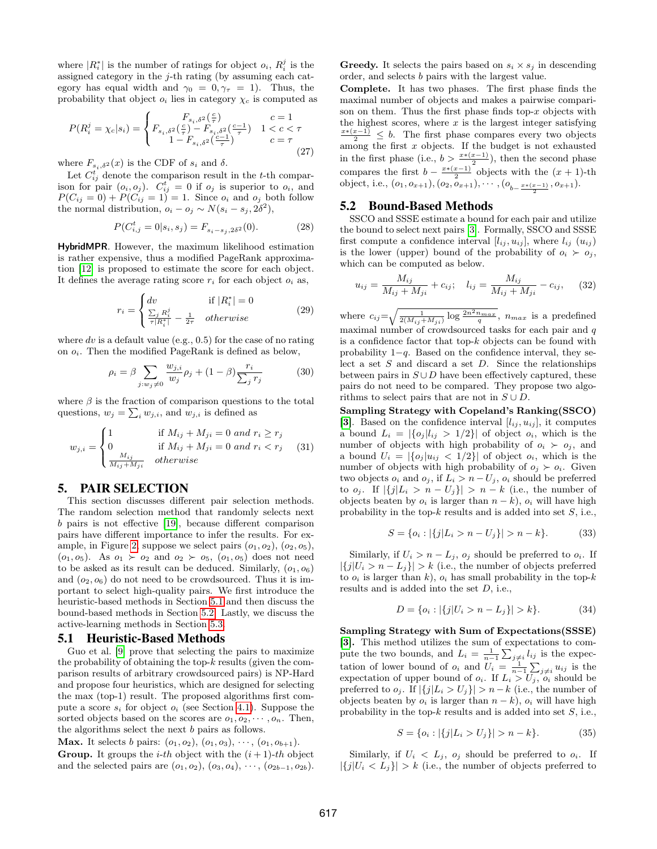where  $|R_i^*|$  is the number of ratings for object  $o_i$ ,  $R_i^j$  is the assigned category in the j-th rating (by assuming each category has equal width and  $\gamma_0 = 0, \gamma_\tau = 1$ . Thus, the probability that object  $o_i$  lies in category  $\chi_c$  is computed as

$$
P(R_i^j = \chi_c|s_i) = \begin{cases} F_{s_i,\delta^2}\left(\frac{c}{\tau}\right) & c = 1\\ F_{s_i,\delta^2}\left(\frac{c}{\tau}\right) - F_{s_i,\delta^2}\left(\frac{c-1}{\tau}\right) & 1 < c < \tau\\ 1 - F_{s_i,\delta^2}\left(\frac{c-1}{\tau}\right) & c = \tau \end{cases} \tag{27}
$$

where  $F_{s_i,\delta^2}(x)$  is the CDF of  $s_i$  and  $\delta$ .

Let  $C_{ij}^t$  denote the comparison result in the t-th comparison for pair  $(o_i, o_j)$ .  $C_{ij}^t = 0$  if  $o_j$  is superior to  $o_i$ , and  $P(C_{ij} = 0) + P(C_{ij} = 1) = 1$ . Since  $o_i$  and  $o_j$  both follow the normal distribution,  $o_i - o_j \sim N(s_i - s_j, 2\delta^2)$ ,

$$
P(C_{i,j}^t = 0|s_i, s_j) = F_{s_i - s_j, 2\delta^2}(0). \tag{28}
$$

HybridMPR. However, the maximum likelihood estimation is rather expensive, thus a modified PageRank approximation [\[12\]](#page-11-6) is proposed to estimate the score for each object. It defines the average rating score  $r_i$  for each object  $o_i$  as,

$$
r_i = \begin{cases} dv & \text{if } |R_i^*| = 0\\ \frac{\sum_j R_i^j}{\tau |R_i^*|} - \frac{1}{2\tau} & otherwise \end{cases}
$$
 (29)

where  $dv$  is a default value (e.g., 0.5) for the case of no rating on  $o_i$ . Then the modified PageRank is defined as below,

$$
\rho_i = \beta \sum_{j:w_j \neq 0} \frac{w_{j,i}}{w_j} \rho_j + (1 - \beta) \frac{r_i}{\sum_j r_j} \tag{30}
$$

where  $\beta$  is the fraction of comparison questions to the total questions,  $w_j = \sum_i w_{j,i}$ , and  $w_{j,i}$  is defined as

$$
w_{j,i} = \begin{cases} 1 & \text{if } M_{ij} + M_{ji} = 0 \text{ and } r_i \ge r_j \\ 0 & \text{if } M_{ij} + M_{ji} = 0 \text{ and } r_i < r_j \\ \frac{M_{ij}}{M_{ij} + M_{ji}} & \text{otherwise} \end{cases} \tag{31}
$$

# <span id="page-5-0"></span>5. PAIR SELECTION

This section discusses different pair selection methods. The random selection method that randomly selects next b pairs is not effective [\[19\]](#page-11-13), because different comparison pairs have different importance to infer the results. For ex-ample, in Figure [2,](#page-1-1) suppose we select pairs  $(o_1, o_2)$ ,  $(o_2, o_5)$ ,  $(o_1, o_5)$ . As  $o_1 \succ o_2$  and  $o_2 \succ o_5$ ,  $(o_1, o_5)$  does not need to be asked as its result can be deduced. Similarly,  $(o_1, o_6)$ and  $(o_2, o_6)$  do not need to be crowdsourced. Thus it is important to select high-quality pairs. We first introduce the heuristic-based methods in Section [5.1](#page-5-1) and then discuss the bound-based methods in Section [5.2.](#page-5-2) Lastly, we discuss the active-learning methods in Section [5.3.](#page-6-1)

#### <span id="page-5-1"></span>5.1 Heuristic-Based Methods

Guo et al. [\[9\]](#page-11-1) prove that selecting the pairs to maximize the probability of obtaining the top- $k$  results (given the comparison results of arbitrary crowdsourced pairs) is NP-Hard and propose four heuristics, which are designed for selecting the max (top-1) result. The proposed algorithms first compute a score  $s_i$  for object  $o_i$  (see Section [4.1\)](#page-1-9). Suppose the sorted objects based on the scores are  $o_1, o_2, \dots, o_n$ . Then, the algorithms select the next  $b$  pairs as follows.

**Max.** It selects b pairs:  $(o_1, o_2)$ ,  $(o_1, o_3)$ ,  $\dots$ ,  $(o_1, o_{b+1})$ . **Group.** It groups the *i-th* object with the  $(i + 1)$ -th object and the selected pairs are  $(o_1, o_2)$ ,  $(o_3, o_4)$ ,  $\dots$ ,  $(o_{2b-1}, o_{2b})$ .

**Greedy.** It selects the pairs based on  $s_i \times s_j$  in descending order, and selects b pairs with the largest value.

Complete. It has two phases. The first phase finds the maximal number of objects and makes a pairwise comparison on them. Thus the first phase finds top- $x$  objects with the highest scores, where  $x$  is the largest integer satisfying  $\frac{x*(x-1)}{2} \leq b$ . The first phase compares every two objects among the first  $x$  objects. If the budget is not exhausted in the first phase (i.e.,  $b > \frac{x*(x-1)}{2}$ ), then the second phase compares the first  $b - \frac{x*(x-1)}{2}$  objects with the  $(x + 1)$ -th object, i.e.,  $(o_1, o_{x+1}), (o_2, o_{x+1}), \cdots, (o_{b-\frac{x*(x-1)}{2}}, o_{x+1}).$ 

# <span id="page-5-2"></span>5.2 Bound-Based Methods

SSCO and SSSE estimate a bound for each pair and utilize the bound to select next pairs [\[3\]](#page-11-16). Formally, SSCO and SSSE first compute a confidence interval  $[l_{ij}, u_{ij}]$ , where  $l_{ij}$   $(u_{ij})$ is the lower (upper) bound of the probability of  $o_i \succ o_j$ , which can be computed as below.

$$
u_{ij} = \frac{M_{ij}}{M_{ij} + M_{ji}} + c_{ij}; \quad l_{ij} = \frac{M_{ij}}{M_{ij} + M_{ji}} - c_{ij}, \quad (32)
$$

where  $c_{ij} = \sqrt{\frac{1}{2(M_{ij}+M_{ji})} \log \frac{2n^2 n_{max}}{q}}$ ,  $n_{max}$  is a predefined maximal number of crowdsourced tasks for each pair and  $q$ is a confidence factor that top- $k$  objects can be found with probability 1−q. Based on the confidence interval, they select a set  $S$  and discard a set  $D$ . Since the relationships between pairs in  $S \cup D$  have been effectively captured, these pairs do not need to be compared. They propose two algorithms to select pairs that are not in  $S \cup D$ .

Sampling Strategy with Copeland's Ranking(SSCO) [\[3\]](#page-11-16). Based on the confidence interval  $[l_{ij}, u_{ij}]$ , it computes a bound  $L_i = |\{o_j | l_{ij} > 1/2\}|$  of object  $o_i$ , which is the number of objects with high probability of  $o_i \succ o_j$ , and a bound  $U_i = |\{o_j | u_{ij} < 1/2\}|$  of object  $o_i$ , which is the number of objects with high probability of  $o_j \succ o_i$ . Given two objects  $o_i$  and  $o_j$ , if  $L_i > n - U_j$ ,  $o_i$  should be preferred to  $o_j$ . If  $|\{j|L_i > n - U_j\}| > n - k$  (i.e., the number of objects beaten by  $o_i$  is larger than  $n - k$ ),  $o_i$  will have high probability in the top- $k$  results and is added into set  $S$ , i.e.,

$$
S = \{o_i : |\{j|L_i > n - U_j\}| > n - k\}.
$$
 (33)

Similarly, if  $U_i > n - L_j$ ,  $o_j$  should be preferred to  $o_i$ . If  $|\{j|U_i > n - L_j\}| > k$  (i.e., the number of objects preferred to  $o_i$  is larger than k),  $o_i$  has small probability in the top-k results and is added into the set D, i.e.,

$$
D = \{o_i : |\{j|U_i > n - L_j\}| > k\}.
$$
 (34)

Sampling Strategy with Sum of Expectations(SSSE) [\[3\]](#page-11-16). This method utilizes the sum of expectations to compute the two bounds, and  $L_i = \frac{1}{n-1} \sum_{j \neq i} l_{ij}$  is the expectation of lower bound of  $o_i$  and  $U_i = \frac{1}{n-1} \sum_{j \neq i} u_{ij}$  is the expectation of upper bound of  $o_i$ . If  $L_i > U_j$ ,  $o_i$  should be preferred to  $o_j$ . If  $|\{j|L_i > U_j\}| > n-k$  (i.e., the number of objects beaten by  $o_i$  is larger than  $n - k$ ),  $o_i$  will have high probability in the top- $k$  results and is added into set  $S$ , i.e.,

$$
S = \{o_i : |\{j|L_i > U_j\}| > n - k\}.
$$
 (35)

Similarly, if  $U_i < L_j$ ,  $o_j$  should be preferred to  $o_i$ . If  $|\{j|U_i < L_j\}| > k$  (i.e., the number of objects preferred to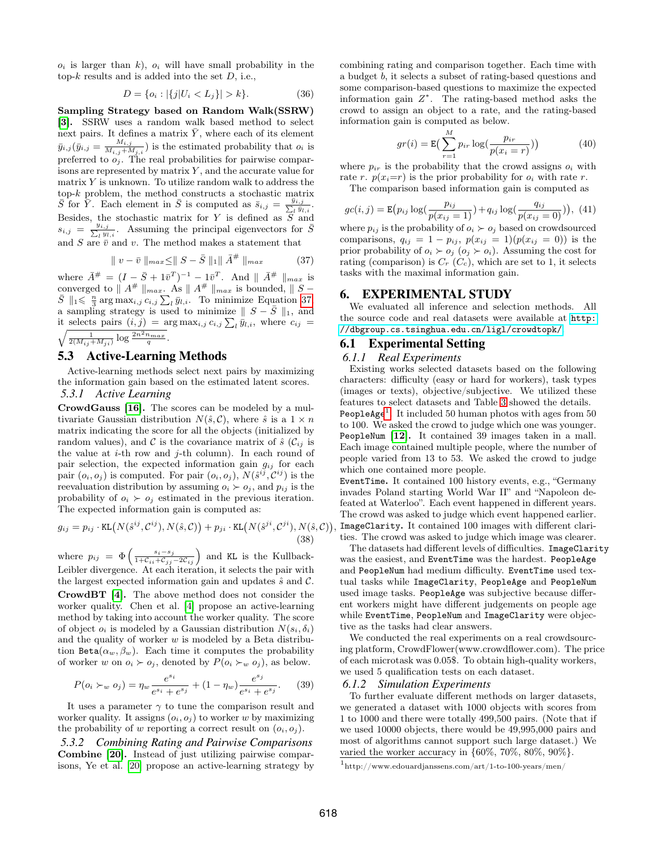$o_i$  is larger than k),  $o_i$  will have small probability in the top- $k$  results and is added into the set  $D$ , i.e.,

$$
D = \{o_i : |\{j|U_i < L_j\}| > k\}.\tag{36}
$$

Sampling Strategy based on Random Walk(SSRW) [\[3\]](#page-11-16). SSRW uses a random walk based method to select next pairs. It defines a matrix  $\bar{Y}$ , where each of its element  $\bar{y}_{i,j}(\bar{y}_{i,j}=\frac{M_{i,j}}{M_{i,j}+M_{i,j}}$  $\frac{M_{i,j}}{M_{i,j}+M_{j,i}}$  is the estimated probability that  $o_i$  is preferred to  $o_j$ . The real probabilities for pairwise comparisons are represented by matrix  $Y$ , and the accurate value for matrix  $Y$  is unknown. To utilize random walk to address the top- $k$  problem, the method constructs a stochastic matrix  $\bar{S}$  for  $\bar{Y}$ . Each element in  $\bar{S}$  is computed as  $\bar{s}_{i,j} = \frac{\bar{y}_{i,j}}{\sum_j \bar{y}_j}$  $\frac{\overline{y}_{i,j}}{l\ \overline{y}_{l,i}}.$ Besides, the stochastic matrix for  $Y$  is defined as  $S$  and  $s_{i,j} = \frac{y_{i,j}}{\sum_{j} y_j}$  $\frac{\mu_{i,j}}{\mu_{i} y_{l,i}}$ . Assuming the principal eigenvectors for  $\bar{S}$ and  $S$  are  $\bar{v}$  and  $v$ . The method makes a statement that

<span id="page-6-2"></span>
$$
\| v - \bar{v} \|_{max} \le \| S - \bar{S} \|_{1} \| \bar{A}^{\#} \|_{max}
$$
 (37)

where  $\bar{A}^{\#} = (I - \bar{S} + 1\bar{v}^T)^{-1} - 1\bar{v}^T$ . And  $|| \bar{A}^{\#} ||_{max}$  is converged to  $|| A^{\#} ||_{max}$ . As  $|| A^{\#} ||_{max}$  is bounded,  $|| S \bar{S} \parallel_1 \leq \frac{n}{3} \arg \max_{i,j} c_{i,j} \sum_l \bar{y}_{l,i}$ . To minimize Equation [37,](#page-6-2) a sampling strategy is used to minimize  $\parallel S - \overline{S} \parallel_1$ , and it selects pairs  $(i, j) = \arg \max_{i,j} c_{i,j} \sum_{l} \bar{y}_{l,i}$ , where  $c_{ij} =$ le selects pairs  $\left(\frac{i}{J}\right)$  = alg max<sub>i</sub>,  $\frac{1}{\sqrt{2(N_{ij}+M_{ji})}}\log\frac{2n^2n_{max}}{q}$ .

# <span id="page-6-1"></span>5.3 Active-Learning Methods

Active-learning methods select next pairs by maximizing the information gain based on the estimated latent scores. *5.3.1 Active Learning*

CrowdGauss [\[16\]](#page-11-4). The scores can be modeled by a multivariate Gaussian distribution  $N(\hat{s}, \mathcal{C})$ , where  $\hat{s}$  is a  $1 \times n$ matrix indicating the score for all the objects (initialized by random values), and C is the covariance matrix of  $\hat{s}$  ( $\mathcal{C}_{ij}$  is the value at  $i$ -th row and  $j$ -th column). In each round of pair selection, the expected information gain  $g_{ij}$  for each pair  $(o_i, o_j)$  is computed. For pair  $(o_i, o_j)$ ,  $N(\hat{s}^{ij}, \hat{\mathcal{C}}^{ij})$  is the reevaluation distribution by assuming  $o_i \succ o_j$ , and  $p_{ij}$  is the probability of  $o_i \succ o_j$  estimated in the previous iteration. The expected information gain is computed as:

$$
g_{ij} = p_{ij} \cdot \texttt{KL}\big(N(\hat{s}^{ij}, \mathcal{C}^{ij}), N(\hat{s}, \mathcal{C})\big) + p_{ji} \cdot \texttt{KL}\big(N(\hat{s}^{ji}, \mathcal{C}^{ji}), N(\hat{s}, \mathcal{C})\big),\tag{38}
$$

where  $p_{ij} = \Phi\left(\frac{s_i - s_j}{1 + C_{ii} + C_{jj} - 2C_{ij}}\right)$  and KL is the Kullback-Leibler divergence. At each iteration, it selects the pair with the largest expected information gain and updates  $\hat{s}$  and  $\hat{C}$ . CrowdBT [\[4\]](#page-11-3). The above method does not consider the worker quality. Chen et al. [\[4\]](#page-11-3) propose an active-learning method by taking into account the worker quality. The score of object  $o_i$  is modeled by a Gaussian distribution  $N(s_i, \delta_i)$ and the quality of worker  $w$  is modeled by a Beta distribution Beta $(\alpha_w, \beta_w)$ . Each time it computes the probability of worker w on  $o_i \succ o_j$ , denoted by  $P(o_i \succ_w o_j)$ , as below.

$$
P(o_i \succ_w o_j) = \eta_w \frac{e^{s_i}}{e^{s_i} + e^{s_j}} + (1 - \eta_w) \frac{e^{s_j}}{e^{s_i} + e^{s_j}}.
$$
 (39)

It uses a parameter  $\gamma$  to tune the comparison result and worker quality. It assigns  $(o_i, o_j)$  to worker w by maximizing the probability of w reporting a correct result on  $(o_i, o_j)$ .

*5.3.2 Combining Rating and Pairwise Comparisons* Combine [\[20\]](#page-11-9). Instead of just utilizing pairwise comparisons, Ye et al. [\[20\]](#page-11-9) propose an active-learning strategy by combining rating and comparison together. Each time with a budget b, it selects a subset of rating-based questions and some comparison-based questions to maximize the expected information gain  $Z^*$ . The rating-based method asks the crowd to assign an object to a rate, and the rating-based information gain is computed as below.

$$
gr(i) = \mathbb{E}\left(\sum_{r=1}^{M} p_{ir} \log\left(\frac{p_{ir}}{p(x_i = r)}\right)\right)
$$
(40)

where  $p_{ir}$  is the probability that the crowd assigns  $o_i$  with rate r.  $p(x_i=r)$  is the prior probability for  $o_i$  with rate r.

The comparison based information gain is computed as

$$
gc(i, j) = \mathbf{E}(p_{ij} \log(\frac{p_{ij}}{p(x_{ij} = 1)}) + q_{ij} \log(\frac{q_{ij}}{p(x_{ij} = 0)})), (41)
$$

where  $p_{ij}$  is the probability of  $o_i \succ o_j$  based on crowdsourced comparisons,  $q_{ij} = 1 - p_{ij}$ ,  $p(x_{ij} = 1)(p(x_{ij} = 0))$  is the prior probability of  $o_i \succ o_j$  ( $o_j \succ o_i$ ). Assuming the cost for rating (comparison) is  $C_r$   $(C_c)$ , which are set to 1, it selects tasks with the maximal information gain.

# 6. EXPERIMENTAL STUDY

We evaluated all inference and selection methods. All the source code and real datasets were available at [http:](http://dbgroup.cs.tsinghua.edu.cn/ligl/crowdtopk/) [//dbgroup.cs.tsinghua.edu.cn/ligl/crowdtopk/](http://dbgroup.cs.tsinghua.edu.cn/ligl/crowdtopk/).

# <span id="page-6-0"></span>6.1 Experimental Setting

### *6.1.1 Real Experiments*

Existing works selected datasets based on the following characters: difficulty (easy or hard for workers), task types (images or texts), objective/subjective. We utilized these features to select datasets and Table [3](#page-7-0) showed the details. <code>PeopleAge $^{\rm l}$ . It included 50 human photos</code> with ages from 50  $\,$ to 100. We asked the crowd to judge which one was younger. PeopleNum [\[12\]](#page-11-6). It contained 39 images taken in a mall. Each image contained multiple people, where the number of people varied from 13 to 53. We asked the crowd to judge which one contained more people.

EventTime. It contained 100 history events, e.g., "Germany invades Poland starting World War II" and "Napoleon defeated at Waterloo". Each event happened in different years. The crowd was asked to judge which event happened earlier. ImageClarity. It contained 100 images with different clarities. The crowd was asked to judge which image was clearer.

The datasets had different levels of difficulties. ImageClarity was the easiest, and EventTime was the hardest. PeopleAge and PeopleNum had medium difficulty. EventTime used textual tasks while ImageClarity, PeopleAge and PeopleNum used image tasks. PeopleAge was subjective because different workers might have different judgements on people age while EventTime, PeopleNum and ImageClarity were objective as the tasks had clear answers.

We conducted the real experiments on a real crowdsourcing platform, CrowdFlower(www.crowdflower.com). The price of each microtask was 0.05\$. To obtain high-quality workers, we used 5 qualification tests on each dataset.

#### <span id="page-6-4"></span>*6.1.2 Simulation Experiments*

To further evaluate different methods on larger datasets, we generated a dataset with 1000 objects with scores from 1 to 1000 and there were totally 499,500 pairs. (Note that if we used 10000 objects, there would be 49,995,000 pairs and most of algorithms cannot support such large dataset.) We varied the worker accuracy in {60%, 70%, 80%, 90%}.

<span id="page-6-3"></span> $1<sup>1</sup>$ http://www.edouardjanssens.com/art/1-to-100-years/men/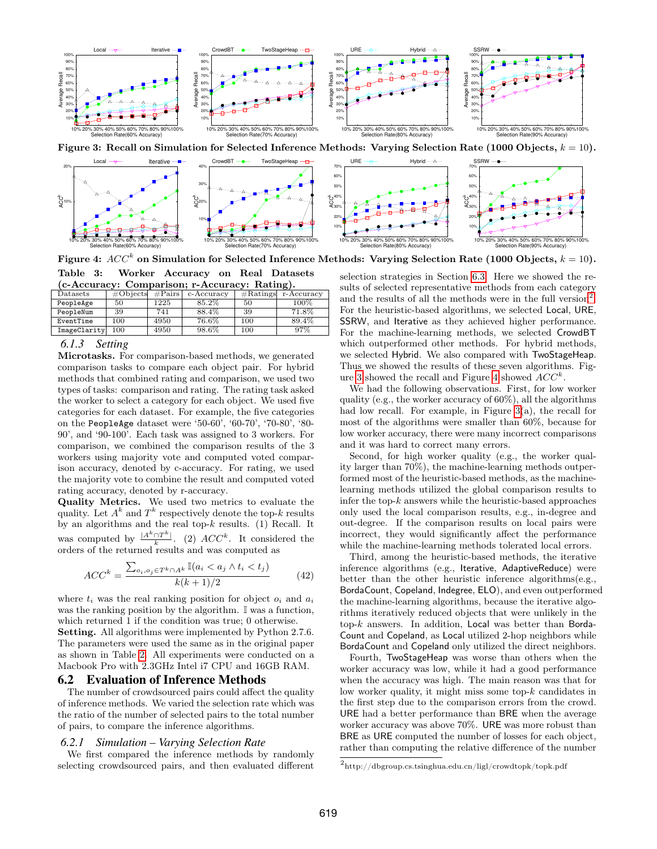

<span id="page-7-2"></span>

<span id="page-7-3"></span>Figure 4:  $ACC<sup>k</sup>$  on Simulation for Selected Inference Methods: Varying Selection Rate (1000 Objects,  $k = 10$ ).

<span id="page-7-0"></span>Table 3: Worker Accuracy on Real Datasets (c-Accuracy: Comparison; r-Accuracy: Rating).

| Datasets     | #Objects | $\#Pairs$ | c-Accuracy | $\#\text{Ratings}$ | r-Accuracy |
|--------------|----------|-----------|------------|--------------------|------------|
| PeopleAge    | 50       | 1225      | 85.2%      | 50                 | 100%       |
| PeopleNum    | 39       | 741       | 88.4%      | 39                 | 71.8%      |
| EventTime    | 100      | 4950      | 76.6%      | 100                | 89.4%      |
| ImageClarity | 100      | 4950      | 98.6%      | 100                | 97%        |

#### *6.1.3 Setting*

Microtasks. For comparison-based methods, we generated comparison tasks to compare each object pair. For hybrid methods that combined rating and comparison, we used two types of tasks: comparison and rating. The rating task asked the worker to select a category for each object. We used five categories for each dataset. For example, the five categories on the PeopleAge dataset were '50-60', '60-70', '70-80', '80- 90', and '90-100'. Each task was assigned to 3 workers. For comparison, we combined the comparison results of the 3 workers using majority vote and computed voted comparison accuracy, denoted by c-accuracy. For rating, we used the majority vote to combine the result and computed voted rating accuracy, denoted by r-accuracy.

Quality Metrics. We used two metrics to evaluate the quality. Let  $A^k$  and  $T^k$  respectively denote the top-k results by an algorithms and the real top- $k$  results. (1) Recall. It was computed by  $\frac{|A^k \cap T^k|}{k}$ . (2)  $ACC^k$ . It considered the orders of the returned results and was computed as

$$
ACC^k = \frac{\sum_{o_i, o_j \in T^k \cap A^k} \mathbb{I}(a_i < a_j \land t_i < t_j)}{k(k+1)/2} \tag{42}
$$

where  $t_i$  was the real ranking position for object  $o_i$  and  $a_i$ was the ranking position by the algorithm. I was a function, which returned 1 if the condition was true; 0 otherwise.

Setting. All algorithms were implemented by Python 2.7.6. The parameters were used the same as in the original paper as shown in Table [2.](#page-2-0) All experiments were conducted on a Macbook Pro with 2.3GHz Intel i7 CPU and 16GB RAM.

#### 6.2 Evaluation of Inference Methods

The number of crowdsourced pairs could affect the quality of inference methods. We varied the selection rate which was the ratio of the number of selected pairs to the total number of pairs, to compare the inference algorithms.

# *6.2.1 Simulation – Varying Selection Rate*

We first compared the inference methods by randomly selecting crowdsourced pairs, and then evaluated different

selection strategies in Section [6.3.](#page-9-0) Here we showed the results of selected representative methods from each category and the results of all the methods were in the full version<sup>[2](#page-7-1)</sup> . For the heuristic-based algorithms, we selected Local, URE, SSRW, and Iterative as they achieved higher performance. For the machine-learning methods, we selected CrowdBT which outperformed other methods. For hybrid methods, we selected Hybrid. We also compared with TwoStageHeap. Thus we showed the results of these seven algorithms. Fig-ure [3](#page-7-2) showed the recall and Figure [4](#page-7-3) showed  $ACC<sup>k</sup>$ .

We had the following observations. First, for low worker quality (e.g., the worker accuracy of 60%), all the algorithms had low recall. For example, in Figure [3\(](#page-7-2)a), the recall for most of the algorithms were smaller than 60%, because for low worker accuracy, there were many incorrect comparisons and it was hard to correct many errors.

Second, for high worker quality (e.g., the worker quality larger than 70%), the machine-learning methods outperformed most of the heuristic-based methods, as the machinelearning methods utilized the global comparison results to infer the top- $k$  answers while the heuristic-based approaches only used the local comparison results, e.g., in-degree and out-degree. If the comparison results on local pairs were incorrect, they would significantly affect the performance while the machine-learning methods tolerated local errors.

Third, among the heuristic-based methods, the iterative inference algorithms (e.g., Iterative, AdaptiveReduce) were better than the other heuristic inference algorithms(e.g., BordaCount, Copeland, Indegree, ELO), and even outperformed the machine-learning algorithms, because the iterative algorithms iteratively reduced objects that were unlikely in the top-k answers. In addition, Local was better than Borda-Count and Copeland, as Local utilized 2-hop neighbors while BordaCount and Copeland only utilized the direct neighbors.

Fourth, TwoStageHeap was worse than others when the worker accuracy was low, while it had a good performance when the accuracy was high. The main reason was that for low worker quality, it might miss some top- $k$  candidates in the first step due to the comparison errors from the crowd. URE had a better performance than BRE when the average worker accuracy was above 70%. URE was more robust than BRE as URE computed the number of losses for each object, rather than computing the relative difference of the number

<span id="page-7-1"></span> $^{2}$ http://dbgroup.cs.tsinghua.edu.cn/ligl/crowdtopk/topk.pdf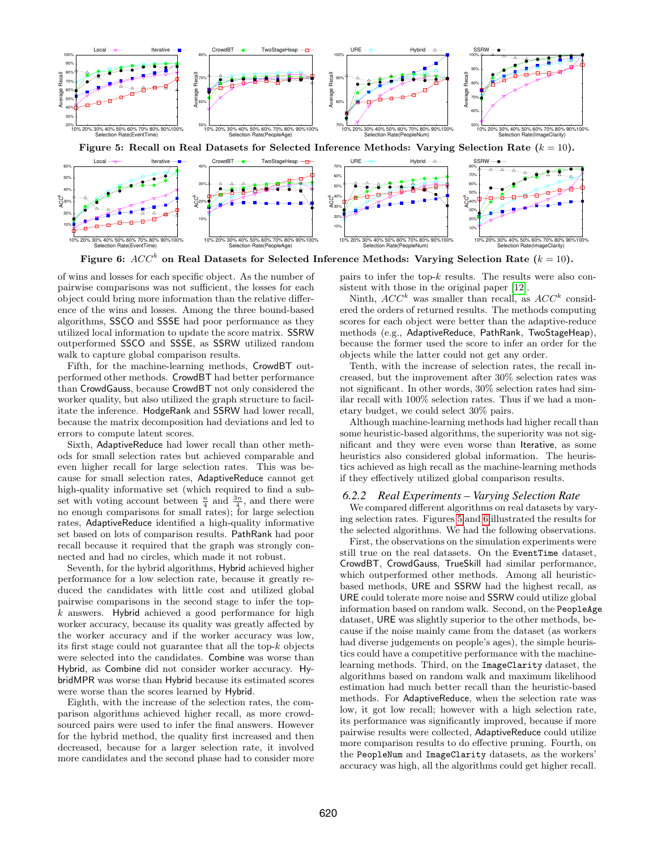<span id="page-8-0"></span>

<span id="page-8-1"></span>Figure 6:  $ACC^k$  on Real Datasets for Selected Inference Methods: Varying Selection Rate ( $k = 10$ ).

of wins and losses for each specific object. As the number of pairwise comparisons was not sufficient, the losses for each object could bring more information than the relative difference of the wins and losses. Among the three bound-based algorithms, SSCO and SSSE had poor performance as they utilized local information to update the score matrix. SSRW outperformed SSCO and SSSE, as SSRW utilized random walk to capture global comparison results.

Fifth, for the machine-learning methods, CrowdBT outperformed other methods. CrowdBT had better performance than CrowdGauss, because CrowdBT not only considered the worker quality, but also utilized the graph structure to facilitate the inference. HodgeRank and SSRW had lower recall, because the matrix decomposition had deviations and led to errors to compute latent scores.

Sixth, AdaptiveReduce had lower recall than other methods for small selection rates but achieved comparable and even higher recall for large selection rates. This was because for small selection rates, AdaptiveReduce cannot get high-quality informative set (which required to find a subset with voting account between  $\frac{n}{4}$  and  $\frac{3n}{4}$ , and there were no enough comparisons for small rates); for large selection rates, AdaptiveReduce identified a high-quality informative set based on lots of comparison results. PathRank had poor recall because it required that the graph was strongly connected and had no circles, which made it not robust.

Seventh, for the hybrid algorithms, Hybrid achieved higher performance for a low selection rate, because it greatly reduced the candidates with little cost and utilized global pairwise comparisons in the second stage to infer the top $k$  answers. Hybrid achieved a good performance for high worker accuracy, because its quality was greatly affected by the worker accuracy and if the worker accuracy was low, its first stage could not guarantee that all the top- $k$  objects were selected into the candidates. Combine was worse than Hybrid, as Combine did not consider worker accuracy. HybridMPR was worse than Hybrid because its estimated scores were worse than the scores learned by Hybrid.

Eighth, with the increase of the selection rates, the comparison algorithms achieved higher recall, as more crowdsourced pairs were used to infer the final answers. However for the hybrid method, the quality first increased and then decreased, because for a larger selection rate, it involved more candidates and the second phase had to consider more

pairs to infer the top- $k$  results. The results were also consistent with those in the original paper [\[12\]](#page-11-6).

Ninth,  $ACC^k$  was smaller than recall, as  $ACC^k$  considered the orders of returned results. The methods computing scores for each object were better than the adaptive-reduce methods (e.g., AdaptiveReduce, PathRank, TwoStageHeap), because the former used the score to infer an order for the objects while the latter could not get any order.

Tenth, with the increase of selection rates, the recall increased, but the improvement after 30% selection rates was not significant. In other words, 30% selection rates had similar recall with 100% selection rates. Thus if we had a monetary budget, we could select 30% pairs.

Although machine-learning methods had higher recall than some heuristic-based algorithms, the superiority was not significant and they were even worse than Iterative, as some heuristics also considered global information. The heuristics achieved as high recall as the machine-learning methods if they effectively utilized global comparison results.

#### *6.2.2 Real Experiments – Varying Selection Rate*

We compared different algorithms on real datasets by varying selection rates. Figures [5](#page-8-0) and [6](#page-8-1) illustrated the results for the selected algorithms. We had the following observations.

First, the observations on the simulation experiments were still true on the real datasets. On the EventTime dataset, CrowdBT, CrowdGauss, TrueSkill had similar performance, which outperformed other methods. Among all heuristicbased methods, URE and SSRW had the highest recall, as URE could tolerate more noise and SSRW could utilize global information based on random walk. Second, on the PeopleAge dataset, URE was slightly superior to the other methods, because if the noise mainly came from the dataset (as workers had diverse judgements on people's ages), the simple heuristics could have a competitive performance with the machinelearning methods. Third, on the ImageClarity dataset, the algorithms based on random walk and maximum likelihood estimation had much better recall than the heuristic-based methods. For AdaptiveReduce, when the selection rate was low, it got low recall; however with a high selection rate, its performance was significantly improved, because if more pairwise results were collected, AdaptiveReduce could utilize more comparison results to do effective pruning. Fourth, on the PeopleNum and ImageClarity datasets, as the workers' accuracy was high, all the algorithms could get higher recall.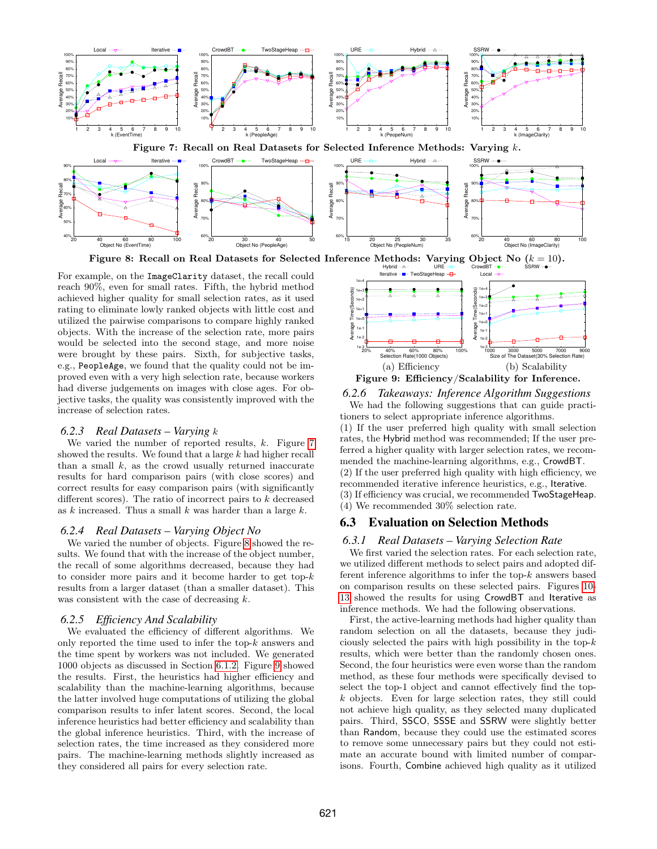

<span id="page-9-2"></span><span id="page-9-1"></span>Figure 8: Recall on Real Datasets for Selected Inference Methods: Varying Object No  $(k = 10)$ . CrowdBT

For example, on the ImageClarity dataset, the recall could reach 90%, even for small rates. Fifth, the hybrid method achieved higher quality for small selection rates, as it used rating to eliminate lowly ranked objects with little cost and utilized the pairwise comparisons to compare highly ranked objects. With the increase of the selection rate, more pairs would be selected into the second stage, and more noise were brought by these pairs. Sixth, for subjective tasks, e.g., PeopleAge, we found that the quality could not be improved even with a very high selection rate, because workers had diverse judgements on images with close ages. For objective tasks, the quality was consistently improved with the increase of selection rates.

#### *6.2.3 Real Datasets – Varying* k

We varied the number of reported results, k. Figure [7](#page-9-1) showed the results. We found that a large  $k$  had higher recall than a small  $k$ , as the crowd usually returned inaccurate results for hard comparison pairs (with close scores) and correct results for easy comparison pairs (with significantly different scores). The ratio of incorrect pairs to  $k$  decreased as  $k$  increased. Thus a small  $k$  was harder than a large  $k$ .

# *6.2.4 Real Datasets – Varying Object No*

We varied the number of objects. Figure [8](#page-9-2) showed the results. We found that with the increase of the object number, the recall of some algorithms decreased, because they had to consider more pairs and it become harder to get top- $k$ results from a larger dataset (than a smaller dataset). This was consistent with the case of decreasing  $k$ .

# *6.2.5 Efficiency And Scalability*

We evaluated the efficiency of different algorithms. We only reported the time used to infer the top- $k$  answers and the time spent by workers was not included. We generated 1000 objects as discussed in Section [6.1.2.](#page-6-4) Figure [9](#page-9-3) showed the results. First, the heuristics had higher efficiency and scalability than the machine-learning algorithms, because the latter involved huge computations of utilizing the global comparison results to infer latent scores. Second, the local inference heuristics had better efficiency and scalability than the global inference heuristics. Third, with the increase of selection rates, the time increased as they considered more pairs. The machine-learning methods slightly increased as they considered all pairs for every selection rate.



<span id="page-9-3"></span>*6.2.6 Takeaways: Inference Algorithm Suggestions* We had the following suggestions that can guide practi-

tioners to select appropriate inference algorithms. (1) If the user preferred high quality with small selection rates, the Hybrid method was recommended; If the user preferred a higher quality with larger selection rates, we recommended the machine-learning algorithms, e.g., CrowdBT. (2) If the user preferred high quality with high efficiency, we recommended iterative inference heuristics, e.g., Iterative. (3) If efficiency was crucial, we recommended TwoStageHeap. (4) We recommended 30% selection rate.

# <span id="page-9-0"></span>6.3 Evaluation on Selection Methods

#### *6.3.1 Real Datasets – Varying Selection Rate*

We first varied the selection rates. For each selection rate, we utilized different methods to select pairs and adopted different inference algorithms to infer the top- $k$  answers based on comparison results on these selected pairs. Figures [10-](#page-10-0) [13](#page-10-1) showed the results for using CrowdBT and Iterative as inference methods. We had the following observations.

First, the active-learning methods had higher quality than random selection on all the datasets, because they judiciously selected the pairs with high possibility in the top- $k$ results, which were better than the randomly chosen ones. Second, the four heuristics were even worse than the random method, as these four methods were specifically devised to select the top-1 object and cannot effectively find the topk objects. Even for large selection rates, they still could not achieve high quality, as they selected many duplicated pairs. Third, SSCO, SSSE and SSRW were slightly better than Random, because they could use the estimated scores to remove some unnecessary pairs but they could not estimate an accurate bound with limited number of comparisons. Fourth, Combine achieved high quality as it utilized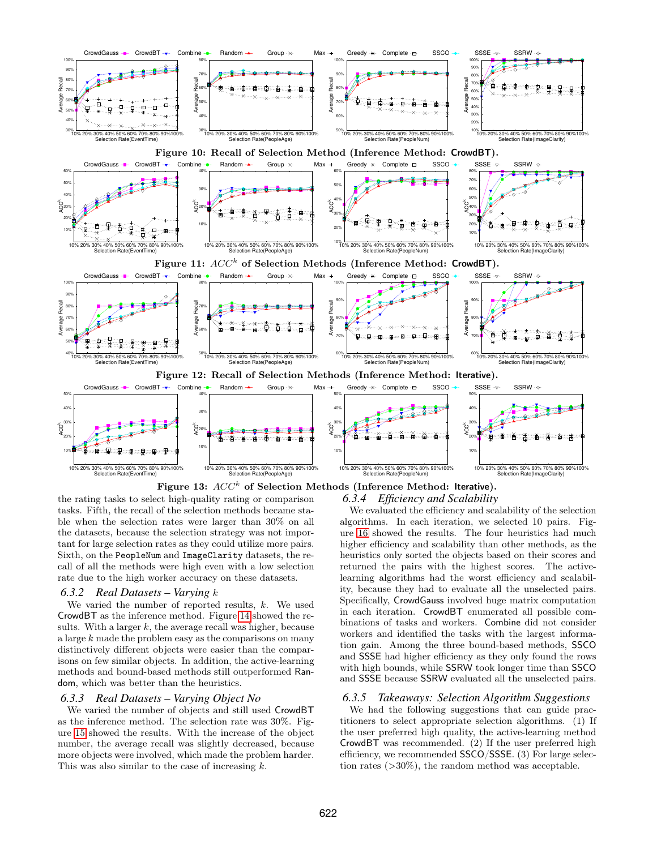<span id="page-10-0"></span>

<span id="page-10-1"></span>

the rating tasks to select high-quality rating or comparison tasks. Fifth, the recall of the selection methods became stable when the selection rates were larger than 30% on all the datasets, because the selection strategy was not important for large selection rates as they could utilize more pairs. Sixth, on the PeopleNum and ImageClarity datasets, the recall of all the methods were high even with a low selection rate due to the high worker accuracy on these datasets.

#### *6.3.2 Real Datasets – Varying* k

We varied the number of reported results, k. We used CrowdBT as the inference method. Figure [14](#page-11-20) showed the results. With a larger  $k$ , the average recall was higher, because a large k made the problem easy as the comparisons on many distinctively different objects were easier than the comparisons on few similar objects. In addition, the active-learning methods and bound-based methods still outperformed Random, which was better than the heuristics.

#### *6.3.3 Real Datasets – Varying Object No*

We varied the number of objects and still used CrowdBT as the inference method. The selection rate was 30%. Figure [15](#page-11-21) showed the results. With the increase of the object number, the average recall was slightly decreased, because more objects were involved, which made the problem harder. This was also similar to the case of increasing  $k$ .

# *6.3.4 Efficiency and Scalability*

We evaluated the efficiency and scalability of the selection algorithms. In each iteration, we selected 10 pairs. Figure [16](#page-11-22) showed the results. The four heuristics had much higher efficiency and scalability than other methods, as the heuristics only sorted the objects based on their scores and returned the pairs with the highest scores. The activelearning algorithms had the worst efficiency and scalability, because they had to evaluate all the unselected pairs. Specifically, CrowdGauss involved huge matrix computation in each iteration. CrowdBT enumerated all possible combinations of tasks and workers. Combine did not consider workers and identified the tasks with the largest information gain. Among the three bound-based methods, SSCO and SSSE had higher efficiency as they only found the rows with high bounds, while SSRW took longer time than SSCO and SSSE because SSRW evaluated all the unselected pairs.

#### *6.3.5 Takeaways: Selection Algorithm Suggestions*

We had the following suggestions that can guide practitioners to select appropriate selection algorithms. (1) If the user preferred high quality, the active-learning method CrowdBT was recommended. (2) If the user preferred high efficiency, we recommended SSCO/SSSE. (3) For large selection rates (>30%), the random method was acceptable.